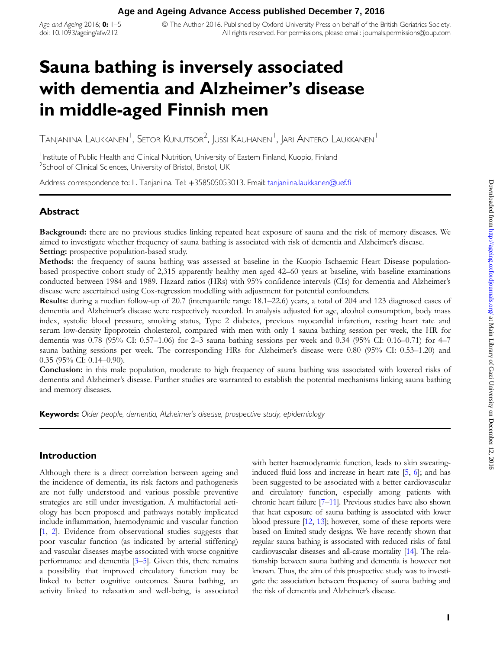Age and Ageing 2016;  $0: 1-5$ doi: 10.1093/ageing/afw212

© The Author 2016. Published by Oxford University Press on behalf of the British Geriatrics Society. All rights reserved. For permissions, please email: journals.permissions@oup.com

# Sauna bathing is inversely associated with dementia and Alzheimer's disease in middle-aged Finnish men

Tanjaniina Laukkanen $^{\mathsf{I}}$ , Setor Kunutsor $^{\mathsf{2}}$ , Jussi Kauhanen $^{\mathsf{I}}$ , Jari Antero Laukkanen $^{\mathsf{I}}$ 

<sup>1</sup> Institute of Public Health and Clinical Nutrition, University of Eastern Finland, Kuopio, Finland <sup>2</sup>School of Clinical Sciences, University of Bristol, Bristol, UK

Address correspondence to: L. Tanjaniina. Tel: +358505053013. Email: [tanjaniina.laukkanen@uef.](mailto: tanjaniina.laukkanen@uef.fi)fi

## Abstract

Background: there are no previous studies linking repeated heat exposure of sauna and the risk of memory diseases. We aimed to investigate whether frequency of sauna bathing is associated with risk of dementia and Alzheimer's disease. Setting: prospective population-based study.

Methods: the frequency of sauna bathing was assessed at baseline in the Kuopio Ischaemic Heart Disease populationbased prospective cohort study of 2,315 apparently healthy men aged 42–60 years at baseline, with baseline examinations conducted between 1984 and 1989. Hazard ratios (HRs) with 95% confidence intervals (CIs) for dementia and Alzheimer's disease were ascertained using Cox-regression modelling with adjustment for potential confounders.

Results: during a median follow-up of 20.7 (interquartile range 18.1–22.6) years, a total of 204 and 123 diagnosed cases of dementia and Alzheimer's disease were respectively recorded. In analysis adjusted for age, alcohol consumption, body mass index, systolic blood pressure, smoking status, Type 2 diabetes, previous myocardial infarction, resting heart rate and serum low-density lipoprotein cholesterol, compared with men with only 1 sauna bathing session per week, the HR for dementia was 0.78 (95% CI: 0.57–1.06) for 2–3 sauna bathing sessions per week and 0.34 (95% CI: 0.16–0.71) for 4–7 sauna bathing sessions per week. The corresponding HRs for Alzheimer's disease were 0.80 (95% CI: 0.53–1.20) and 0.35 (95% CI: 0.14–0.90).

Conclusion: in this male population, moderate to high frequency of sauna bathing was associated with lowered risks of dementia and Alzheimer's disease. Further studies are warranted to establish the potential mechanisms linking sauna bathing and memory diseases.

Keywords: Older people, dementia, Alzheimer's disease, prospective study, epidemiology

### Introduction

Although there is a direct correlation between ageing and the incidence of dementia, its risk factors and pathogenesis are not fully understood and various possible preventive strategies are still under investigation. A multifactorial aetiology has been proposed and pathways notably implicated include inflammation, haemodynamic and vascular function [[1,](#page-4-0) [2\]](#page-4-0). Evidence from observational studies suggests that poor vascular function (as indicated by arterial stiffening) and vascular diseases maybe associated with worse cognitive performance and dementia [[3](#page-4-0)–[5\]](#page-4-0). Given this, there remains a possibility that improved circulatory function may be linked to better cognitive outcomes. Sauna bathing, an activity linked to relaxation and well-being, is associated

with better haemodynamic function, leads to skin sweatinginduced fluid loss and increase in heart rate [[5,](#page-4-0) [6\]](#page-4-0); and has been suggested to be associated with a better cardiovascular and circulatory function, especially among patients with chronic heart failure [\[7](#page-4-0)–[11](#page-4-0)]. Previous studies have also shown that heat exposure of sauna bathing is associated with lower blood pressure [\[12](#page-4-0), [13](#page-4-0)]; however, some of these reports were based on limited study designs. We have recently shown that regular sauna bathing is associated with reduced risks of fatal cardiovascular diseases and all-cause mortality [[14](#page-4-0)]. The relationship between sauna bathing and dementia is however not known. Thus, the aim of this prospective study was to investigate the association between frequency of sauna bathing and the risk of dementia and Alzheimer's disease.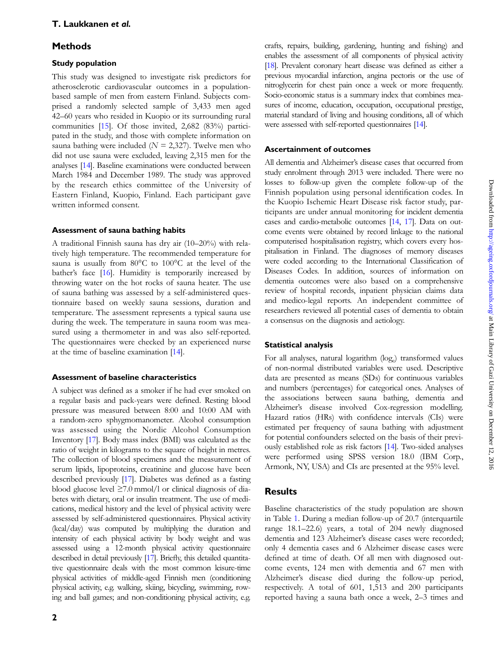## **Methods**

#### Study population

This study was designed to investigate risk predictors for atherosclerotic cardiovascular outcomes in a populationbased sample of men from eastern Finland. Subjects comprised a randomly selected sample of 3,433 men aged 42–60 years who resided in Kuopio or its surrounding rural communities [[15\]](#page-4-0). Of those invited, 2,682 (83%) participated in the study, and those with complete information on sauna bathing were included ( $N = 2,327$ ). Twelve men who did not use sauna were excluded, leaving 2,315 men for the analyses [\[14](#page-4-0)]. Baseline examinations were conducted between March 1984 and December 1989. The study was approved by the research ethics committee of the University of Eastern Finland, Kuopio, Finland. Each participant gave written informed consent.

#### Assessment of sauna bathing habits

A traditional Finnish sauna has dry air (10–20%) with relatively high temperature. The recommended temperature for sauna is usually from 80°C to 100°C at the level of the bather's face [[16](#page-4-0)]. Humidity is temporarily increased by throwing water on the hot rocks of sauna heater. The use of sauna bathing was assessed by a self-administered questionnaire based on weekly sauna sessions, duration and temperature. The assessment represents a typical sauna use during the week. The temperature in sauna room was measured using a thermometer in and was also self-reported. The questionnaires were checked by an experienced nurse at the time of baseline examination [\[14\]](#page-4-0).

### Assessment of baseline characteristics

A subject was defined as a smoker if he had ever smoked on a regular basis and pack-years were defined. Resting blood pressure was measured between 8:00 and 10:00 AM with a random-zero sphygmomanometer. Alcohol consumption was assessed using the Nordic Alcohol Consumption Inventory [\[17\]](#page-4-0). Body mass index (BMI) was calculated as the ratio of weight in kilograms to the square of height in metres. The collection of blood specimens and the measurement of serum lipids, lipoproteins, creatinine and glucose have been described previously [\[17\]](#page-4-0). Diabetes was defined as a fasting blood glucose level  $\geq 7.0$  mmol/l or clinical diagnosis of diabetes with dietary, oral or insulin treatment. The use of medications, medical history and the level of physical activity were assessed by self-administered questionnaires. Physical activity (kcal/day) was computed by multiplying the duration and intensity of each physical activity by body weight and was assessed using a 12-month physical activity questionnaire described in detail previously [\[17\]](#page-4-0). Briefly, this detailed quantitative questionnaire deals with the most common leisure-time physical activities of middle-aged Finnish men (conditioning physical activity, e.g. walking, skiing, bicycling, swimming, rowing and ball games; and non-conditioning physical activity, e.g.

#### Ascertainment of outcomes

All dementia and Alzheimer's disease cases that occurred from study enrolment through 2013 were included. There were no losses to follow-up given the complete follow-up of the Finnish population using personal identification codes. In the Kuopio Ischemic Heart Disease risk factor study, participants are under annual monitoring for incident dementia cases and cardio-metabolic outcomes [[14](#page-4-0), [17\]](#page-4-0). Data on outcome events were obtained by record linkage to the national computerised hospitalisation registry, which covers every hospitalisation in Finland. The diagnoses of memory diseases were coded according to the International Classification of Diseases Codes. In addition, sources of information on dementia outcomes were also based on a comprehensive review of hospital records, inpatient physician claims data and medico-legal reports. An independent committee of researchers reviewed all potential cases of dementia to obtain a consensus on the diagnosis and aetiology.

### Statistical analysis

For all analyses, natural logarithm (loge) transformed values of non-normal distributed variables were used. Descriptive data are presented as means (SDs) for continuous variables and numbers (percentages) for categorical ones. Analyses of the associations between sauna bathing, dementia and Alzheimer's disease involved Cox-regression modelling. Hazard ratios (HRs) with confidence intervals (CIs) were estimated per frequency of sauna bathing with adjustment for potential confounders selected on the basis of their previously established role as risk factors [[14](#page-4-0)]. Two-sided analyses were performed using SPSS version 18.0 (IBM Corp., Armonk, NY, USA) and CIs are presented at the 95% level.

## **Results**

Baseline characteristics of the study population are shown in Table [1.](#page-2-0) During a median follow-up of 20.7 (interquartile range 18.1–22.6) years, a total of 204 newly diagnosed dementia and 123 Alzheimer's disease cases were recorded; only 4 dementia cases and 6 Alzheimer disease cases were defined at time of death. Of all men with diagnosed outcome events, 124 men with dementia and 67 men with Alzheimer's disease died during the follow-up period, respectively. A total of 601, 1,513 and 200 participants reported having a sauna bath once a week, 2–3 times and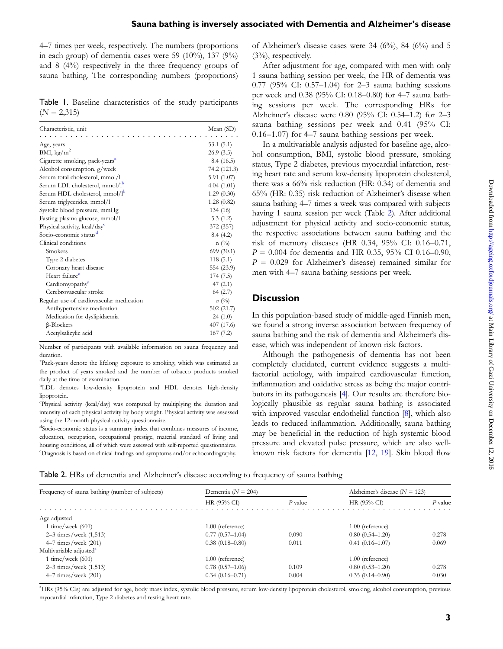<span id="page-2-0"></span>4–7 times per week, respectively. The numbers (proportions in each group) of dementia cases were 59  $(10\%)$ , 137  $(9\%)$ and 8 (4%) respectively in the three frequency groups of sauna bathing. The corresponding numbers (proportions)

Table 1. Baseline characteristics of the study participants  $(N = 2,315)$ 

| Characteristic, unit                       | Mean (SD)     |
|--------------------------------------------|---------------|
| Age, years                                 | 53.1(5.1)     |
| BMI, kg/m <sup>2</sup>                     | 26.9(3.5)     |
| Cigarette smoking, pack-years <sup>a</sup> | 8.4(16.5)     |
| Alcohol consumption, g/week                | 74.2 (121.3)  |
| Serum total cholesterol, mmol/l            | 5.91(1.07)    |
| Serum LDL cholesterol, mmol/l <sup>p</sup> | 4.04(1.01)    |
| Serum HDL cholesterol, mmol/l <sup>b</sup> | 1.29(0.30)    |
| Serum triglycerides, mmol/l                | 1.28(0.82)    |
| Systolic blood pressure, mmHg              | 134 (16)      |
| Fasting plasma glucose, mmol/l             | 5.3(1.2)      |
| Physical activity, kcal/day <sup>c</sup>   | 372 (357)     |
| Socio-economic status <sup>d</sup>         | 8.4(4.2)      |
| Clinical conditions                        | $n \ (\%)$    |
| Smokers                                    | 699 (30.1)    |
| Type 2 diabetes                            | 118(5.1)      |
| Coronary heart disease                     | 554 (23.9)    |
| Heart failure <sup>e</sup>                 | 174 (7.5)     |
| Cardiomyopathy <sup>e</sup>                | 47 $(2.1)$    |
| Cerebrovascular stroke                     | 64(2.7)       |
| Regular use of cardiovascular medication   | $n(^{0}_{0})$ |
| Antihypertensive medication                | 502(21.7)     |
| Medication for dyslipidaemia               | 24(1.0)       |
| $\beta$ -Blockers                          | 407 (17.6)    |
| Acetylsalicylic acid                       | 167(7.2)      |

Number of participants with available information on sauna frequency and duration.

a Pack-years denote the lifelong exposure to smoking, which was estimated as the product of years smoked and the number of tobacco products smoked daily at the time of examination.

<sup>b</sup>LDL denotes low-density lipoprotein and HDL denotes high-density lipoprotein.

c Physical activity (kcal/day) was computed by multiplying the duration and intensity of each physical activity by body weight. Physical activity was assessed using the 12-month physical activity questionnaire.

d Socio-economic status is a summary index that combines measures of income, education, occupation, occupational prestige, material standard of living and housing conditions, all of which were assessed with self-reported questionnaires. e Diagnosis is based on clinical findings and symptoms and/or echocardiography.

of Alzheimer's disease cases were  $34$  (6%),  $84$  (6%) and 5 (3%), respectively.

After adjustment for age, compared with men with only 1 sauna bathing session per week, the HR of dementia was 0.77 (95% CI: 0.57–1.04) for 2–3 sauna bathing sessions per week and 0.38 (95% CI: 0.18–0.80) for 4–7 sauna bathing sessions per week. The corresponding HRs for Alzheimer's disease were 0.80 (95% CI: 0.54–1.2) for 2–3 sauna bathing sessions per week and 0.41 (95% CI: 0.16–1.07) for 4–7 sauna bathing sessions per week.

In a multivariable analysis adjusted for baseline age, alcohol consumption, BMI, systolic blood pressure, smoking status, Type 2 diabetes, previous myocardial infarction, resting heart rate and serum low-density lipoprotein cholesterol, there was a 66% risk reduction (HR: 0.34) of dementia and 65% (HR: 0.35) risk reduction of Alzheimer's disease when sauna bathing 4–7 times a week was compared with subjects having 1 sauna session per week (Table 2). After additional adjustment for physical activity and socio-economic status, the respective associations between sauna bathing and the risk of memory diseases (HR 0.34, 95% CI: 0.16–0.71,  $P = 0.004$  for dementia and HR 0.35, 95% CI 0.16–0.90,  $P = 0.029$  for Alzheimer's disease) remained similar for men with 4–7 sauna bathing sessions per week.

#### **Discussion**

In this population-based study of middle-aged Finnish men, we found a strong inverse association between frequency of sauna bathing and the risk of dementia and Alzheimer's disease, which was independent of known risk factors.

Although the pathogenesis of dementia has not been completely elucidated, current evidence suggests a multifactorial aetiology, with impaired cardiovascular function, inflammation and oxidative stress as being the major contributors in its pathogenesis [\[4](#page-4-0)]. Our results are therefore biologically plausible as regular sauna bathing is associated with improved vascular endothelial function [[8](#page-4-0)], which also leads to reduced inflammation. Additionally, sauna bathing may be beneficial in the reduction of high systemic blood pressure and elevated pulse pressure, which are also wellknown risk factors for dementia [[12,](#page-4-0) [19\]](#page-4-0). Skin blood flow

| Frequency of sauna bathing (number of subjects) | Dementia ( $N = 204$ ) |         | Alzheimer's disease $(N = 123)$ |           |
|-------------------------------------------------|------------------------|---------|---------------------------------|-----------|
|                                                 | HR (95% CI)            | P value | HR $(95\%$ CI                   | $P$ value |
| Age adjusted                                    |                        |         |                                 |           |
| 1 time/week $(601)$                             | $1.00$ (reference)     |         | $1.00$ (reference)              |           |
| $2-3$ times/week $(1,513)$                      | $0.77(0.57-1.04)$      | 0.090   | $0.80(0.54 - 1.20)$             | 0.278     |
| $4-7$ times/week $(201)$                        | $0.38(0.18 - 0.80)$    | 0.011   | $0.41(0.16 - 1.07)$             | 0.069     |
| Multivariable adjusted <sup>a</sup>             |                        |         |                                 |           |
| 1 time/week $(601)$                             | 1.00 (reference)       |         | 1.00 (reference)                |           |
| 2–3 times/week $(1,513)$                        | $0.78(0.57-1.06)$      | 0.109   | $0.80(0.53 - 1.20)$             | 0.278     |
| $4-7$ times/week $(201)$                        | $0.34(0.16 - 0.71)$    | 0.004   | $0.35(0.14 - 0.90)$             | 0.030     |

a HRs (95% CIs) are adjusted for age, body mass index, systolic blood pressure, serum low-density lipoprotein cholesterol, smoking, alcohol consumption, previous myocardial infarction, Type 2 diabetes and resting heart rate.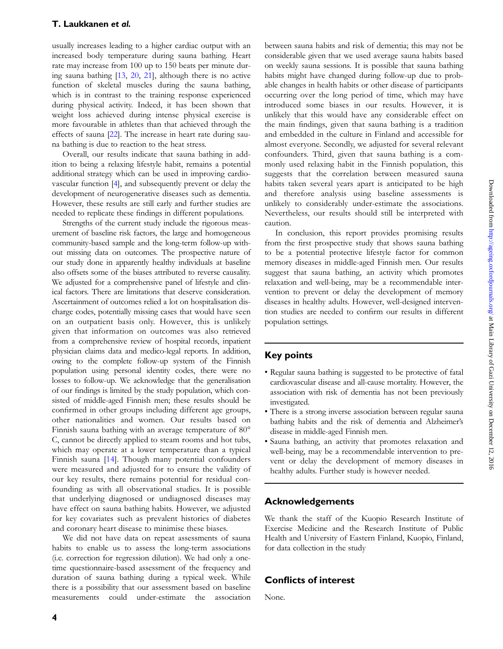usually increases leading to a higher cardiac output with an increased body temperature during sauna bathing. Heart rate may increase from 100 up to 150 beats per minute during sauna bathing [\[13,](#page-4-0) [20](#page-4-0), [21](#page-4-0)], although there is no active function of skeletal muscles during the sauna bathing, which is in contrast to the training response experienced during physical activity. Indeed, it has been shown that weight loss achieved during intense physical exercise is more favourable in athletes than that achieved through the effects of sauna [[22](#page-4-0)]. The increase in heart rate during sauna bathing is due to reaction to the heat stress.

Overall, our results indicate that sauna bathing in addition to being a relaxing lifestyle habit, remains a potential additional strategy which can be used in improving cardiovascular function [\[4](#page-4-0)], and subsequently prevent or delay the development of neurogenerative diseases such as dementia. However, these results are still early and further studies are needed to replicate these findings in different populations.

Strengths of the current study include the rigorous measurement of baseline risk factors, the large and homogeneous community-based sample and the long-term follow-up without missing data on outcomes. The prospective nature of our study done in apparently healthy individuals at baseline also offsets some of the biases attributed to reverse causality. We adjusted for a comprehensive panel of lifestyle and clinical factors. There are limitations that deserve consideration. Ascertainment of outcomes relied a lot on hospitalisation discharge codes, potentially missing cases that would have seen on an outpatient basis only. However, this is unlikely given that information on outcomes was also retrieved from a comprehensive review of hospital records, inpatient physician claims data and medico-legal reports. In addition, owing to the complete follow-up system of the Finnish population using personal identity codes, there were no losses to follow-up. We acknowledge that the generalisation of our findings is limited by the study population, which consisted of middle-aged Finnish men; these results should be confirmed in other groups including different age groups, other nationalities and women. Our results based on Finnish sauna bathing with an average temperature of 80° C, cannot be directly applied to steam rooms and hot tubs, which may operate at a lower temperature than a typical Finnish sauna [\[14](#page-4-0)]. Though many potential confounders were measured and adjusted for to ensure the validity of our key results, there remains potential for residual confounding as with all observational studies. It is possible that underlying diagnosed or undiagnosed diseases may have effect on sauna bathing habits. However, we adjusted for key covariates such as prevalent histories of diabetes and coronary heart disease to minimise these biases.

We did not have data on repeat assessments of sauna habits to enable us to assess the long-term associations (i.e. correction for regression dilution). We had only a onetime questionnaire-based assessment of the frequency and duration of sauna bathing during a typical week. While there is a possibility that our assessment based on baseline measurements could under-estimate the association between sauna habits and risk of dementia; this may not be considerable given that we used average sauna habits based on weekly sauna sessions. It is possible that sauna bathing habits might have changed during follow-up due to probable changes in health habits or other disease of participants occurring over the long period of time, which may have introduced some biases in our results. However, it is unlikely that this would have any considerable effect on the main findings, given that sauna bathing is a tradition and embedded in the culture in Finland and accessible for almost everyone. Secondly, we adjusted for several relevant confounders. Third, given that sauna bathing is a commonly used relaxing habit in the Finnish population, this suggests that the correlation between measured sauna habits taken several years apart is anticipated to be high and therefore analysis using baseline assessments is unlikely to considerably under-estimate the associations. Nevertheless, our results should still be interpreted with caution.

In conclusion, this report provides promising results from the first prospective study that shows sauna bathing to be a potential protective lifestyle factor for common memory diseases in middle-aged Finnish men. Our results suggest that sauna bathing, an activity which promotes relaxation and well-being, may be a recommendable intervention to prevent or delay the development of memory diseases in healthy adults. However, well-designed intervention studies are needed to confirm our results in different population settings.

## Key points

- Regular sauna bathing is suggested to be protective of fatal cardiovascular disease and all-cause mortality. However, the association with risk of dementia has not been previously investigated.
- There is a strong inverse association between regular sauna bathing habits and the risk of dementia and Alzheimer's disease in middle-aged Finnish men.
- Sauna bathing, an activity that promotes relaxation and well-being, may be a recommendable intervention to prevent or delay the development of memory diseases in healthy adults. Further study is however needed.

## Acknowledgements

We thank the staff of the Kuopio Research Institute of Exercise Medicine and the Research Institute of Public Health and University of Eastern Finland, Kuopio, Finland, for data collection in the study

## Conflicts of interest

None.